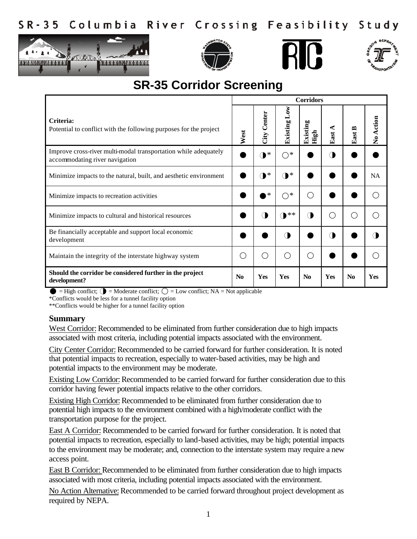







## **SR-35 Corridor Screening**

|                                                                                                   | <b>Corridors</b> |                |                          |                                                     |       |                |            |  |  |
|---------------------------------------------------------------------------------------------------|------------------|----------------|--------------------------|-----------------------------------------------------|-------|----------------|------------|--|--|
| Criteria:<br>Potential to conflict with the following purposes for the project                    | West             | Center<br>City | $_{\rm Low}$<br>Existing | Ы<br>Existin<br>High                                | East. | East           | No Action  |  |  |
| Improve cross-river multi-modal transportation while adequately<br>accommodating river navigation |                  | $\mathbf{D}^*$ | *<br>∩                   |                                                     |       |                |            |  |  |
| Minimize impacts to the natural, built, and aesthetic environment                                 |                  | $\mathbf{D}^*$ | *<br>◑                   |                                                     |       |                | <b>NA</b>  |  |  |
| Minimize impacts to recreation activities                                                         |                  | ∗              | *<br>∩                   | ◯                                                   |       |                |            |  |  |
| Minimize impacts to cultural and historical resources                                             |                  | ( I            | •∗∗                      | ◑                                                   |       | ◠              |            |  |  |
| Be financially acceptable and support local economic<br>development                               |                  |                | $\left($                 |                                                     | Π     |                |            |  |  |
| Maintain the integrity of the interstate highway system                                           |                  | ◯              |                          | $\left( \begin{array}{c} \cdot \end{array} \right)$ |       |                |            |  |  |
| Should the corridor be considered further in the project<br>development?                          | N <sub>0</sub>   | Yes            | <b>Yes</b>               | N <sub>0</sub>                                      | Yes   | N <sub>0</sub> | <b>Yes</b> |  |  |

 $\bullet$  = High conflict;  $\bullet$  = Moderate conflict;  $\circ$  = Low conflict; NA = Not applicable

\*Conflicts would be less for a tunnel facility option

\*\*Conflicts would be higher for a tunnel facility option

## **Summary**

West Corridor: Recommended to be eliminated from further consideration due to high impacts associated with most criteria, including potential impacts associated with the environment.

City Center Corridor: Recommended to be carried forward for further consideration. It is noted that potential impacts to recreation, especially to water-based activities, may be high and potential impacts to the environment may be moderate.

Existing Low Corridor: Recommended to be carried forward for further consideration due to this corridor having fewer potential impacts relative to the other corridors.

Existing High Corridor: Recommended to be eliminated from further consideration due to potential high impacts to the environment combined with a high/moderate conflict with the transportation purpose for the project.

East A Corridor: Recommended to be carried forward for further consideration. It is noted that potential impacts to recreation, especially to land-based activities, may be high; potential impacts to the environment may be moderate; and, connection to the interstate system may require a new access point.

East B Corridor: Recommended to be eliminated from further consideration due to high impacts associated with most criteria, including potential impacts associated with the environment.

No Action Alternative: Recommended to be carried forward throughout project development as required by NEPA.